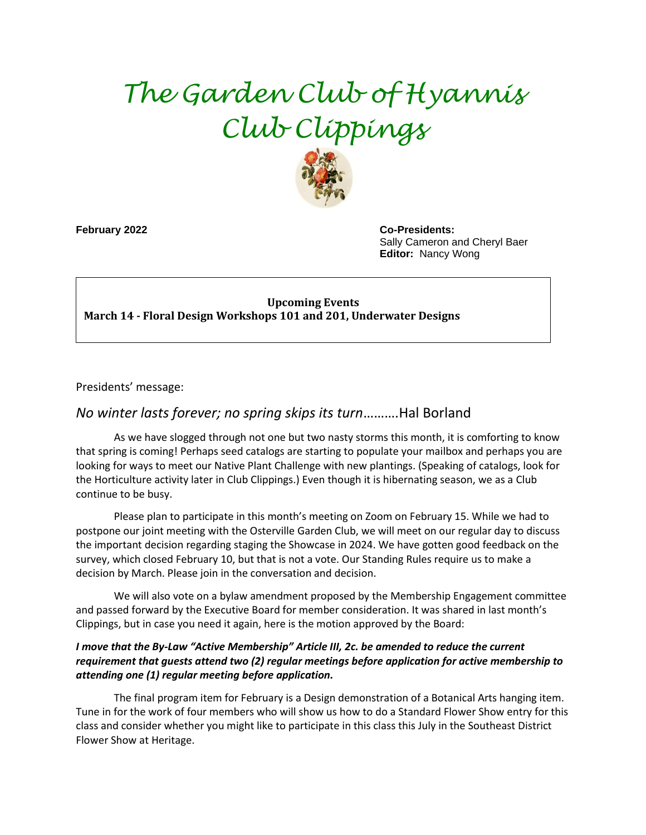# *The Garden Club of Hyannis Club Clippings*



**February 2022 Co-Presidents:**  Sally Cameron and Cheryl Baer **Editor:** Nancy Wong

#### **Upcoming Events March 14 - Floral Design Workshops 101 and 201, Underwater Designs**

Presidents' message:

## *No winter lasts forever; no spring skips its turn*……….Hal Borland

As we have slogged through not one but two nasty storms this month, it is comforting to know that spring is coming! Perhaps seed catalogs are starting to populate your mailbox and perhaps you are looking for ways to meet our Native Plant Challenge with new plantings. (Speaking of catalogs, look for the Horticulture activity later in Club Clippings.) Even though it is hibernating season, we as a Club continue to be busy.

Please plan to participate in this month's meeting on Zoom on February 15. While we had to postpone our joint meeting with the Osterville Garden Club, we will meet on our regular day to discuss the important decision regarding staging the Showcase in 2024. We have gotten good feedback on the survey, which closed February 10, but that is not a vote. Our Standing Rules require us to make a decision by March. Please join in the conversation and decision.

We will also vote on a bylaw amendment proposed by the Membership Engagement committee and passed forward by the Executive Board for member consideration. It was shared in last month's Clippings, but in case you need it again, here is the motion approved by the Board:

#### *I move that the By-Law "Active Membership" Article III, 2c. be amended to reduce the current requirement that guests attend two (2) regular meetings before application for active membership to attending one (1) regular meeting before application.*

The final program item for February is a Design demonstration of a Botanical Arts hanging item. Tune in for the work of four members who will show us how to do a Standard Flower Show entry for this class and consider whether you might like to participate in this class this July in the Southeast District Flower Show at Heritage.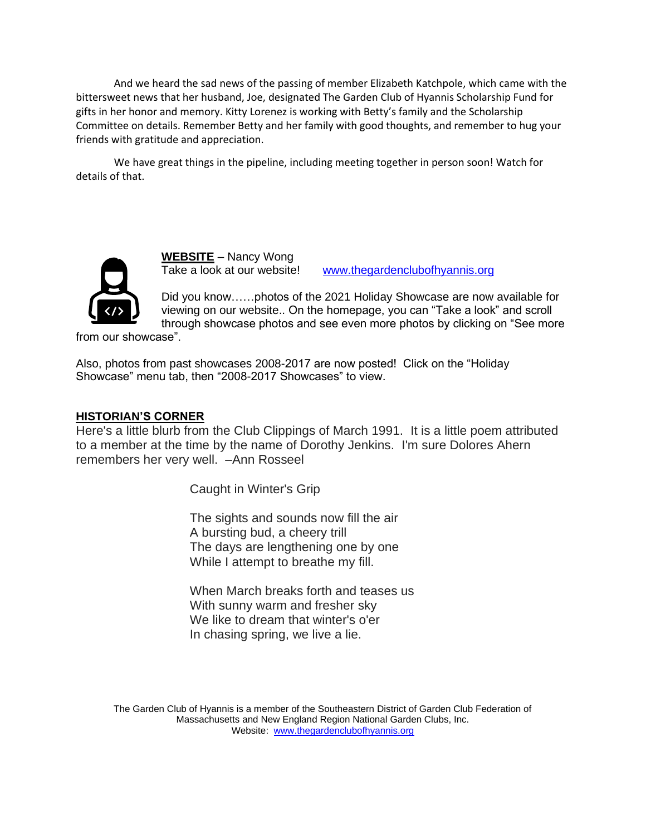And we heard the sad news of the passing of member Elizabeth Katchpole, which came with the bittersweet news that her husband, Joe, designated The Garden Club of Hyannis Scholarship Fund for gifts in her honor and memory. Kitty Lorenez is working with Betty's family and the Scholarship Committee on details. Remember Betty and her family with good thoughts, and remember to hug your friends with gratitude and appreciation.

We have great things in the pipeline, including meeting together in person soon! Watch for details of that.



**WEBSITE** – Nancy Wong

Take a look at our website! [www.thegardenclubofhyannis.org](http://www.thegardenclubofhyannis.org/)

Did you know……photos of the 2021 Holiday Showcase are now available for viewing on our website.. On the homepage, you can "Take a look" and scroll through showcase photos and see even more photos by clicking on "See more

from our showcase".

Also, photos from past showcases 2008-2017 are now posted! Click on the "Holiday Showcase" menu tab, then "2008-2017 Showcases" to view.

#### **HISTORIAN'S CORNER**

Here's a little blurb from the Club Clippings of March 1991. It is a little poem attributed to a member at the time by the name of Dorothy Jenkins. I'm sure Dolores Ahern remembers her very well. –Ann Rosseel

Caught in Winter's Grip

The sights and sounds now fill the air A bursting bud, a cheery trill The days are lengthening one by one While I attempt to breathe my fill.

When March breaks forth and teases us With sunny warm and fresher sky We like to dream that winter's o'er In chasing spring, we live a lie.

The Garden Club of Hyannis is a member of the Southeastern District of Garden Club Federation of Massachusetts and New England Region National Garden Clubs, Inc. Website: [www.thegardenclubofhyannis.org](http://www.thegardenclubofhyannis.org/)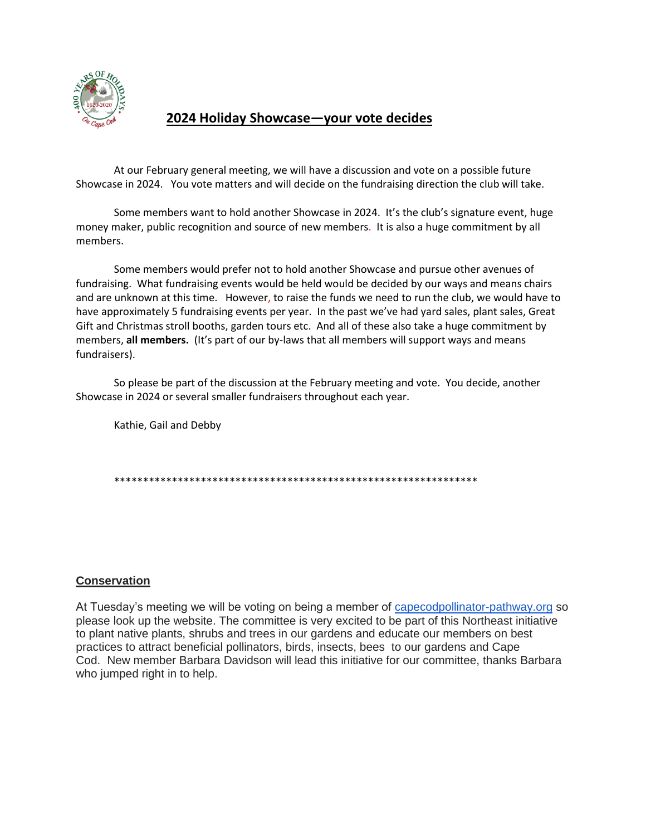

## **2024 Holiday Showcase—your vote decides**

At our February general meeting, we will have a discussion and vote on a possible future Showcase in 2024. You vote matters and will decide on the fundraising direction the club will take.

Some members want to hold another Showcase in 2024. It's the club's signature event, huge money maker, public recognition and source of new members. It is also a huge commitment by all members.

Some members would prefer not to hold another Showcase and pursue other avenues of fundraising. What fundraising events would be held would be decided by our ways and means chairs and are unknown at this time. However, to raise the funds we need to run the club, we would have to have approximately 5 fundraising events per year. In the past we've had yard sales, plant sales, Great Gift and Christmas stroll booths, garden tours etc. And all of these also take a huge commitment by members, **all members.** (It's part of our by-laws that all members will support ways and means fundraisers).

So please be part of the discussion at the February meeting and vote. You decide, another Showcase in 2024 or several smaller fundraisers throughout each year.

Kathie, Gail and Debby

\*\*\*\*\*\*\*\*\*\*\*\*\*\*\*\*\*\*\*\*\*\*\*\*\*\*\*\*\*\*\*\*\*\*\*\*\*\*\*\*\*\*\*\*\*\*\*\*\*\*\*\*\*\*\*\*\*\*\*\*\*\*\*

#### **Conservation**

At Tuesday's meeting we will be voting on being a member of [capecodpollinator-pathway.org](http://capecodpollinator-pathway.org/) so please look up the website. The committee is very excited to be part of this Northeast initiative to plant native plants, shrubs and trees in our gardens and educate our members on best practices to attract beneficial pollinators, birds, insects, bees to our gardens and Cape Cod. New member Barbara Davidson will lead this initiative for our committee, thanks Barbara who jumped right in to help.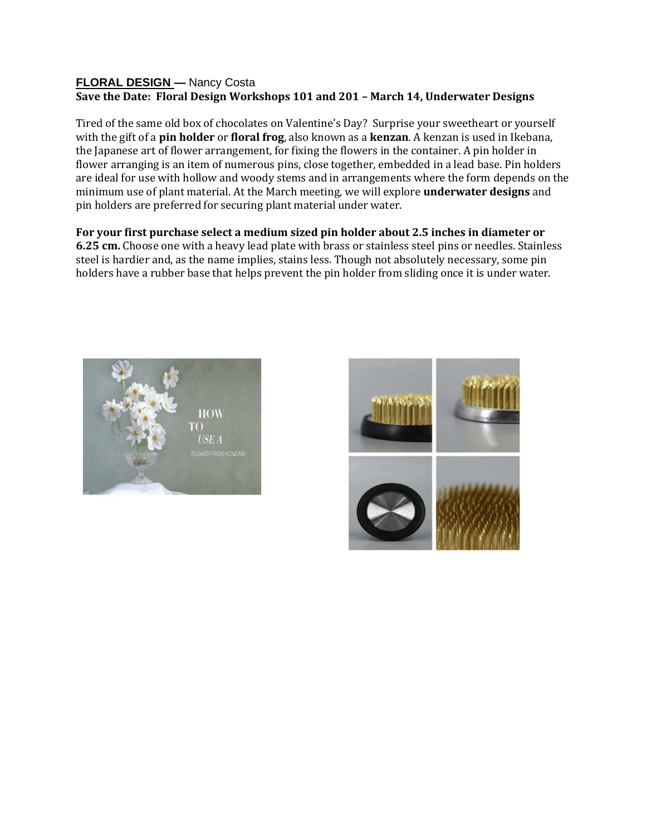#### **FLORAL DESIGN —** Nancy Costa **Save the Date: Floral Design Workshops 101 and 201 – March 14, Underwater Designs**

Tired of the same old box of chocolates on Valentine's Day? Surprise your sweetheart or yourself with the gift of a **pin holder** or **floral frog**, also known as a **kenzan**. A kenzan is used in Ikebana, the Japanese art of flower arrangement, for fixing the flowers in the container. A pin holder in flower arranging is an item of numerous pins, close together, embedded in a lead base. Pin holders are ideal for use with hollow and woody stems and in arrangements where the form depends on the minimum use of plant material. At the March meeting, we will explore **underwater designs** and pin holders are preferred for securing plant material under water.

**For your first purchase select a medium sized pin holder about 2.5 inches in diameter or 6.25 cm.** Choose one with a heavy lead plate with brass or stainless steel pins or needles. Stainless steel is hardier and, as the name implies, stains less. Though not absolutely necessary, some pin holders have a rubber base that helps prevent the pin holder from sliding once it is under water.



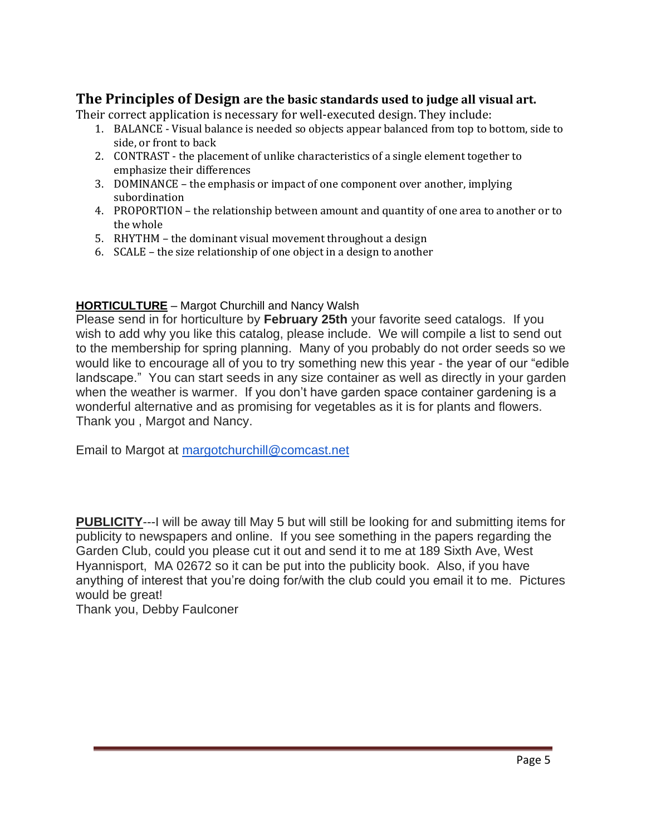# **The Principles of Design are the basic standards used to judge all visual art.**

Their correct application is necessary for well-executed design. They include:

- 1. BALANCE Visual balance is needed so objects appear balanced from top to bottom, side to side, or front to back
- 2. CONTRAST the placement of unlike characteristics of a single element together to emphasize their differences
- 3. DOMINANCE the emphasis or impact of one component over another, implying subordination
- 4. PROPORTION the relationship between amount and quantity of one area to another or to the whole
- 5. RHYTHM the dominant visual movement throughout a design
- 6. SCALE the size relationship of one object in a design to another

### **HORTICULTURE** – Margot Churchill and Nancy Walsh

Please send in for horticulture by **February 25th** your favorite seed catalogs. If you wish to add why you like this catalog, please include. We will compile a list to send out to the membership for spring planning. Many of you probably do not order seeds so we would like to encourage all of you to try something new this year - the year of our "edible landscape." You can start seeds in any size container as well as directly in your garden when the weather is warmer. If you don't have garden space container gardening is a wonderful alternative and as promising for vegetables as it is for plants and flowers. Thank you , Margot and Nancy.

Email to Margot at [margotchurchill@comcast.net](mailto:margotchurchill@comcast.net)

**PUBLICITY**---I will be away till May 5 but will still be looking for and submitting items for publicity to newspapers and online. If you see something in the papers regarding the Garden Club, could you please cut it out and send it to me at 189 Sixth Ave, West Hyannisport, MA 02672 so it can be put into the publicity book. Also, if you have anything of interest that you're doing for/with the club could you email it to me. Pictures would be great!

Thank you, Debby Faulconer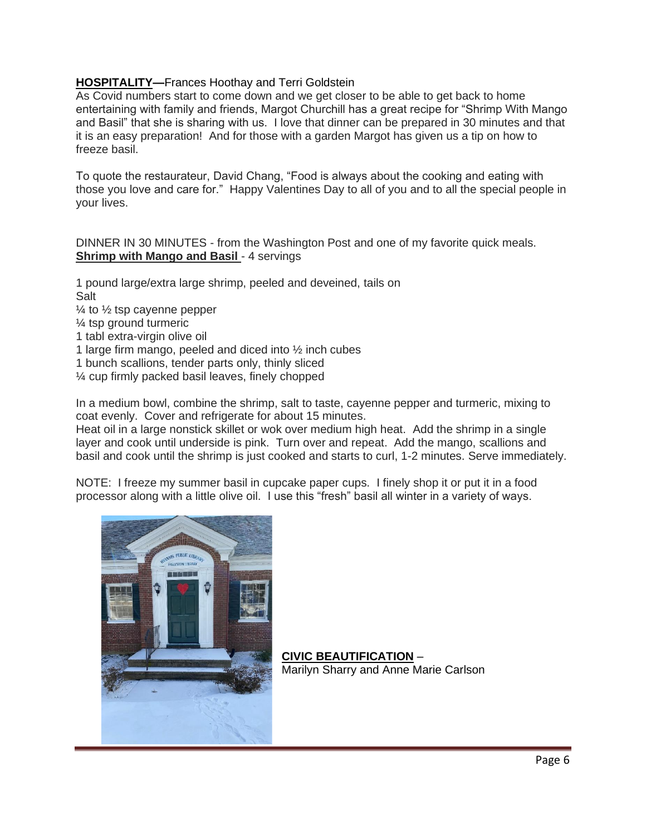### **HOSPITALITY—**Frances Hoothay and Terri Goldstein

As Covid numbers start to come down and we get closer to be able to get back to home entertaining with family and friends, Margot Churchill has a great recipe for "Shrimp With Mango and Basil" that she is sharing with us. I love that dinner can be prepared in 30 minutes and that it is an easy preparation! And for those with a garden Margot has given us a tip on how to freeze basil.

To quote the restaurateur, David Chang, "Food is always about the cooking and eating with those you love and care for." Happy Valentines Day to all of you and to all the special people in your lives.

DINNER IN 30 MINUTES - from the Washington Post and one of my favorite quick meals. **Shrimp with Mango and Basil - 4 servings** 

1 pound large/extra large shrimp, peeled and deveined, tails on Salt

- $\frac{1}{4}$  to  $\frac{1}{2}$  tsp cayenne pepper
- ¼ tsp ground turmeric
- 1 tabl extra-virgin olive oil
- 1 large firm mango, peeled and diced into ½ inch cubes
- 1 bunch scallions, tender parts only, thinly sliced
- ¼ cup firmly packed basil leaves, finely chopped

In a medium bowl, combine the shrimp, salt to taste, cayenne pepper and turmeric, mixing to coat evenly. Cover and refrigerate for about 15 minutes.

Heat oil in a large nonstick skillet or wok over medium high heat. Add the shrimp in a single layer and cook until underside is pink. Turn over and repeat. Add the mango, scallions and basil and cook until the shrimp is just cooked and starts to curl, 1-2 minutes. Serve immediately.

NOTE: I freeze my summer basil in cupcake paper cups. I finely shop it or put it in a food processor along with a little olive oil. I use this "fresh" basil all winter in a variety of ways.



**CIVIC BEAUTIFICATION** – Marilyn Sharry and Anne Marie Carlson